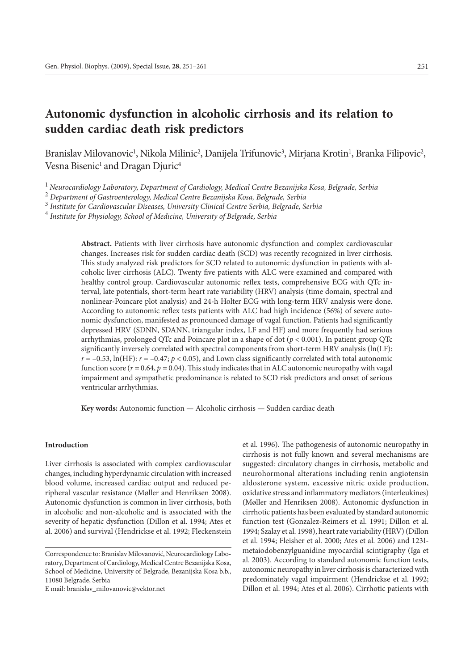# **Autonomic dysfunction in alcoholic cirrhosis and its relation to sudden cardiac death risk predictors**

Branislav Milovanovic<sup>1</sup>, Nikola Milinic<sup>2</sup>, Danijela Trifunovic<sup>3</sup>, Mirjana Krotin<sup>1</sup>, Branka Filipovic<sup>2</sup>, Vesna Bisenic<sup>1</sup> and Dragan Djuric<sup>4</sup>

<sup>1</sup>*Neurocardiology Laboratory, Department of Cardiology, Medical Centre Bezanijska Kosa, Belgrade, Serbia*

2  *Department of Gastroenterology, Medical Centre Bezanijska Kosa, Belgrade, Serbia*

3  *Institute for Cardiovascular Diseases, University Clinical Centre Serbia, Belgrade, Serbia*

4  *Institute for Physiology, School of Medicine, University of Belgrade, Serbia*

**Abstract.** Patients with liver cirrhosis have autonomic dysfunction and complex cardiovascular changes. Increases risk for sudden cardiac death (SCD) was recently recognized in liver cirrhosis. This study analyzed risk predictors for SCD related to autonomic dysfunction in patients with alcoholic liver cirrhosis (ALC). Twenty five patients with ALC were examined and compared with healthy control group. Cardiovascular autonomic reflex tests, comprehensive ECG with QTc interval, late potentials, short-term heart rate variability (HRV) analysis (time domain, spectral and nonlinear-Poincare plot analysis) and 24-h Holter ECG with long-term HRV analysis were done. According to autonomic reflex tests patients with ALC had high incidence (56%) of severe autonomic dysfunction, manifested as pronounced damage of vagal function. Patients had significantly depressed HRV (SDNN, SDANN, triangular index, LF and HF) and more frequently had serious arrhythmias, prolonged QTc and Poincare plot in a shape of dot (*p* < 0.001). In patient group QTc significantly inversely correlated with spectral components from short-term HRV analysis (ln(LF):  $r = -0.53$ , ln(HF):  $r = -0.47$ ;  $p < 0.05$ ), and Lown class significantly correlated with total autonomic function score  $(r = 0.64, p = 0.04)$ . This study indicates that in ALC autonomic neuropathy with vagal impairment and sympathetic predominance is related to SCD risk predictors and onset of serious ventricular arrhythmias.

**Key words:** Autonomic function — Alcoholic cirrhosis — Sudden cardiac death

## **Introduction**

Liver cirrhosis is associated with complex cardiovascular changes, including hyperdynamic circulation with increased blood volume, increased cardiac output and reduced peripheral vascular resistance (Møller and Henriksen 2008). Autonomic dysfunction is common in liver cirrhosis, both in alcoholic and non-alcoholic and is associated with the severity of hepatic dysfunction (Dillon et al. 1994; Ates et al. 2006) and survival (Hendrickse et al. 1992; Fleckenstein

E mail: branislav\_milovanovic@vektor.net

et al. 1996). The pathogenesis of autonomic neuropathy in cirrhosis is not fully known and several mechanisms are suggested: circulatory changes in cirrhosis, metabolic and neurohormonal alterations including renin angiotensin aldosterone system, excessive nitric oxide production, oxidative stress and inflammatory mediators (interleukines) (Møller and Henriksen 2008). Autonomic dysfunction in cirrhotic patients has been evaluated by standard autonomic function test (Gonzalez-Reimers et al. 1991; Dillon et al. 1994; Szalay et al. 1998), heart rate variability (HRV) (Dillon et al. 1994; Fleisher et al. 2000; Ates et al. 2006) and 123Imetaiodobenzylguanidine myocardial scintigraphy (Iga et al. 2003). According to standard autonomic function tests, autonomic neuropathy in liver cirrhosis is characterized with predominately vagal impairment (Hendrickse et al. 1992; Dillon et al. 1994; Ates et al. 2006). Cirrhotic patients with

Correspondence to: Branislav Milovanović, Neurocardiology Laboratory, Department of Cardiology, Medical Centre Bezanijska Kosa, School of Medicine, University of Belgrade, Bezanijska Kosa b.b., 11080 Belgrade, Serbia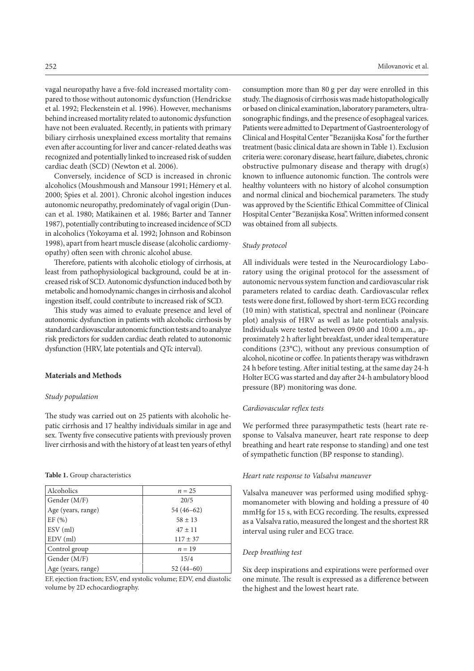vagal neuropathy have a five-fold increased mortality compared to those without autonomic dysfunction (Hendrickse et al. 1992; Fleckenstein et al. 1996). However, mechanisms behind increased mortality related to autonomic dysfunction have not been evaluated. Recently, in patients with primary biliary cirrhosis unexplained excess mortality that remains even after accounting for liver and cancer-related deaths was recognized and potentially linked to increased risk of sudden cardiac death (SCD) (Newton et al. 2006).

Conversely, incidence of SCD is increased in chronic alcoholics (Moushmoush and Mansour 1991; Hémery et al. 2000; Spies et al. 2001). Chronic alcohol ingestion induces autonomic neuropathy, predominately of vagal origin (Duncan et al. 1980; Matikainen et al. 1986; Barter and Tanner 1987), potentially contributing to increased incidence of SCD in alcoholics (Yokoyama et al. 1992; Johnson and Robinson 1998), apart from heart muscle disease (alcoholic cardiomyopathy) often seen with chronic alcohol abuse.

Therefore, patients with alcoholic etiology of cirrhosis, at least from pathophysiological background, could be at increased risk of SCD. Autonomic dysfunction induced both by metabolic and homodynamic changes in cirrhosis and alcohol ingestion itself, could contribute to increased risk of SCD.

This study was aimed to evaluate presence and level of autonomic dysfunction in patients with alcoholic cirrhosis by standard cardiovascular autonomic function tests and to analyze risk predictors for sudden cardiac death related to autonomic dysfunction (HRV, late potentials and QTc interval).

#### **Materials and Methods**

## *Study population*

The study was carried out on 25 patients with alcoholic hepatic cirrhosis and 17 healthy individuals similar in age and sex. Twenty five consecutive patients with previously proven liver cirrhosis and with the history of at least ten years of ethyl

## **Table 1.** Group characteristics

| Alcoholics         | $n = 25$     |
|--------------------|--------------|
| Gender (M/F)       | 20/5         |
| Age (years, range) | $54(46-62)$  |
| EF(%)              | $58 \pm 13$  |
| $ESV$ (ml)         | $47 \pm 11$  |
| $EDV$ (ml)         | $117 \pm 37$ |
| Control group      | $n=19$       |
| Gender (M/F)       | 15/4         |
| Age (years, range) | $52(44-60)$  |

EF, ejection fraction; ESV, end systolic volume; EDV, end diastolic volume by 2D echocardiography.

consumption more than 80 g per day were enrolled in this study. The diagnosis of cirrhosis was made histopathologically or based on clinical examination, laboratory parameters, ultrasonographic findings, and the presence of esophageal varices. Patients were admitted to Department of Gastroenterology of Clinical and Hospital Center "Bezanijska Kosa" for the further treatment (basic clinical data are shown in Table 1). Exclusion criteria were: coronary disease, heart failure, diabetes, chronic obstructive pulmonary disease and therapy with drug(s) known to influence autonomic function. The controls were healthy volunteers with no history of alcohol consumption and normal clinical and biochemical parameters. The study was approved by the Scientific Ethical Committee of Clinical Hospital Center "Bezanijska Kosa". Written informed consent was obtained from all subjects.

#### *Study protocol*

All individuals were tested in the Neurocardiology Laboratory using the original protocol for the assessment of autonomic nervous system function and cardiovascular risk parameters related to cardiac death. Cardiovascular reflex tests were done first, followed by short-term ECG recording (10 min) with statistical, spectral and nonlinear (Poincare plot) analysis of HRV as well as late potentials analysis. Individuals were tested between 09:00 and 10:00 a.m., approximately 2 h after light breakfast, under ideal temperature conditions (23°C), without any previous consumption of alcohol, nicotine or coffee. In patients therapy was withdrawn 24 h before testing. After initial testing, at the same day 24-h Holter ECG was started and day after 24-h ambulatory blood pressure (BP) monitoring was done.

#### *Cardiovascular reflex tests*

We performed three parasympathetic tests (heart rate response to Valsalva maneuver, heart rate response to deep breathing and heart rate response to standing) and one test of sympathetic function (BP response to standing).

## *Heart rate response to Valsalva maneuver*

Valsalva maneuver was performed using modified sphygmomanometer with blowing and holding a pressure of 40 mmHg for 15 s, with ECG recording. The results, expressed as a Valsalva ratio, measured the longest and the shortest RR interval using ruler and ECG trace.

# *Deep breathing test*

Six deep inspirations and expirations were performed over one minute. The result is expressed as a difference between the highest and the lowest heart rate.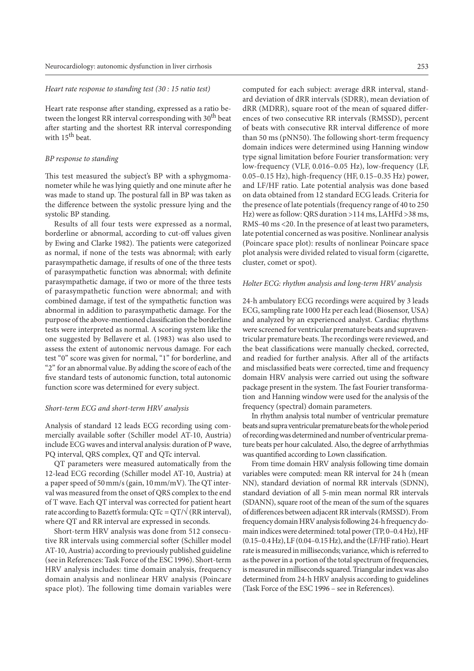#### *Heart rate response to standing test (30 : 15 ratio test)*

Heart rate response after standing, expressed as a ratio between the longest RR interval corresponding with  $30<sup>th</sup>$  beat after starting and the shortest RR interval corresponding with 15<sup>th</sup> beat.

## *BP response to standing*

This test measured the subject's BP with a sphygmomanometer while he was lying quietly and one minute after he was made to stand up. The postural fall in BP was taken as the difference between the systolic pressure lying and the systolic BP standing.

Results of all four tests were expressed as a normal, borderline or abnormal, according to cut-off values given by Ewing and Clarke 1982). The patients were categorized as normal, if none of the tests was abnormal; with early parasympathetic damage, if results of one of the three tests of parasympathetic function was abnormal; with definite parasympathetic damage, if two or more of the three tests of parasympathetic function were abnormal; and with combined damage, if test of the sympathetic function was abnormal in addition to parasympathetic damage. For the purpose of the above-mentioned classification the borderline tests were interpreted as normal. A scoring system like the one suggested by Bellavere et al. (1983) was also used to assess the extent of autonomic nervous damage. For each test "0" score was given for normal, "1" for borderline, and "2" for an abnormal value. By adding the score of each of the five standard tests of autonomic function, total autonomic function score was determined for every subject.

#### *Short-term ECG and short-term HRV analysis*

Analysis of standard 12 leads ECG recording using commercially available softer (Schiller model AT-10, Austria) include ECG waves and interval analysis: duration of P wave, PQ interval, QRS complex, QT and QTc interval.

QT parameters were measured automatically from the 12-lead ECG recording (Schiller model AT-10, Austria) at a paper speed of 50 mm/s (gain, 10 mm/mV). The QT interval was measured from the onset of QRS complex to the end of T wave. Each QT interval was corrected for patient heart rate according to Bazett's formula:  $QTc = QT/\sqrt{(RR interval)}$ , where QT and RR interval are expressed in seconds.

Short-term HRV analysis was done from 512 consecutive RR intervals using commercial softer (Schiller model AT-10, Austria) according to previously published guideline (see in References: Task Force of the ESC 1996). Short-term HRV analysis includes: time domain analysis, frequency domain analysis and nonlinear HRV analysis (Poincare space plot). The following time domain variables were computed for each subject: average dRR interval, standard deviation of dRR intervals (SDRR), mean deviation of dRR (MDRR), square root of the mean of squared differences of two consecutive RR intervals (RMSSD), percent of beats with consecutive RR interval difference of more than 50 ms (pNN50). The following short-term frequency domain indices were determined using Hanning window type signal limitation before Fourier transformation: very low-frequency (VLF, 0.016–0.05 Hz), low-frequency (LF, 0.05–0.15 Hz), high-frequency (HF, 0.15–0.35 Hz) power, and LF/HF ratio. Late potential analysis was done based on data obtained from 12 standard ECG leads. Criteria for the presence of late potentials (frequency range of 40 to 250 Hz) were as follow: QRS duration >114 ms, LAHFd >38 ms, RMS-40 ms <20. In the presence of at least two parameters, late potential concerned as was positive. Nonlinear analysis (Poincare space plot): results of nonlinear Poincare space plot analysis were divided related to visual form (cigarette, cluster, comet or spot).

## *Holter ECG: rhythm analysis and long-term HRV analysis*

24-h ambulatory ECG recordings were acquired by 3 leads ECG, sampling rate 1000 Hz per each lead (Biosensor, USA) and analyzed by an experienced analyst. Cardiac rhythms were screened for ventricular premature beats and supraventricular premature beats. The recordings were reviewed, and the beat classifications were manually checked, corrected, and readied for further analysis. After all of the artifacts and misclassified beats were corrected, time and frequency domain HRV analysis were carried out using the software package present in the system. The fast Fourier transformation and Hanning window were used for the analysis of the frequency (spectral) domain parameters.

In rhythm analysis total number of ventricular premature beats and supra ventricular premature beats for the whole period of recording was determined and number of ventricular premature beats per hour calculated. Also, the degree of arrhythmias was quantified according to Lown classification.

From time domain HRV analysis following time domain variables were computed: mean RR interval for 24 h (mean NN), standard deviation of normal RR intervals (SDNN), standard deviation of all 5-min mean normal RR intervals (SDANN), square root of the mean of the sum of the squares of differences between adjacent RR intervals (RMSSD). From frequency domain HRV analysis following 24-h frequency domain indices were determined: total power (TP, 0–0.4 Hz), HF (0.15–0.4 Hz), LF (0.04–0.15 Hz), and the (LF/HF ratio). Heart rate is measured in milliseconds; variance, which is referred to as the power in a portion of the total spectrum of frequencies, is measured in milliseconds squared. Triangular index was also determined from 24-h HRV analysis according to guidelines (Task Force of the ESC 1996 – see in References).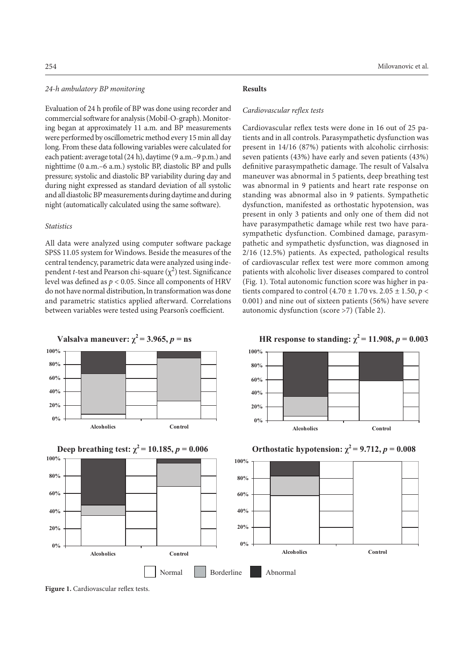# *24-h ambulatory BP monitoring*

Evaluation of 24 h profile of BP was done using recorder and commercial software for analysis (Mobil-O-graph). Monitoring began at approximately 11 a.m. and BP measurements were performed by oscillometric method every 15 min all day long. From these data following variables were calculated for each patient: average total (24 h), daytime (9 a.m.–9 p.m.) and nighttime (0 a.m.–6 a.m.) systolic BP, diastolic BP and pulls pressure; systolic and diastolic BP variability during day and during night expressed as standard deviation of all systolic and all diastolic BP measurements during daytime and during night (automatically calculated using the same software).

# *Statistics*

All data were analyzed using computer software package SPSS 11.05 system for Windows. Beside the measures of the central tendency, parametric data were analyzed using independent *t*-test and Pearson chi-square  $(\chi^2)$  test. Significance level was defined as *p* < 0.05. Since all components of HRV do not have normal distribution, ln transformation was done and parametric statistics applied afterward. Correlations between variables were tested using Pearson's coefficient.

#### **Results**

## *Cardiovascular reflex tests*

Cardiovascular reflex tests were done in 16 out of 25 patients and in all controls. Parasympathetic dysfunction was present in 14/16 (87%) patients with alcoholic cirrhosis: seven patients (43%) have early and seven patients (43%) definitive parasympathetic damage. The result of Valsalva maneuver was abnormal in 5 patients, deep breathing test was abnormal in 9 patients and heart rate response on standing was abnormal also in 9 patients. Sympathetic dysfunction, manifested as orthostatic hypotension, was present in only 3 patients and only one of them did not have parasympathetic damage while rest two have parasympathetic dysfunction. Combined damage, parasympathetic and sympathetic dysfunction, was diagnosed in 2/16 (12.5%) patients. As expected, pathological results of cardiovascular reflex test were more common among patients with alcoholic liver diseases compared to control (Fig. 1). Total autonomic function score was higher in patients compared to control (4.70 ± 1.70 vs. 2.05 ± 1.50, *p* < 0.001) and nine out of sixteen patients (56%) have severe autonomic dysfunction (score >7) (Table 2).







Figure 1. Cardiovascular reflex tests.

**HR response to standing:**  $\chi^2 = 11.908$ ,  $p = 0.003$ 





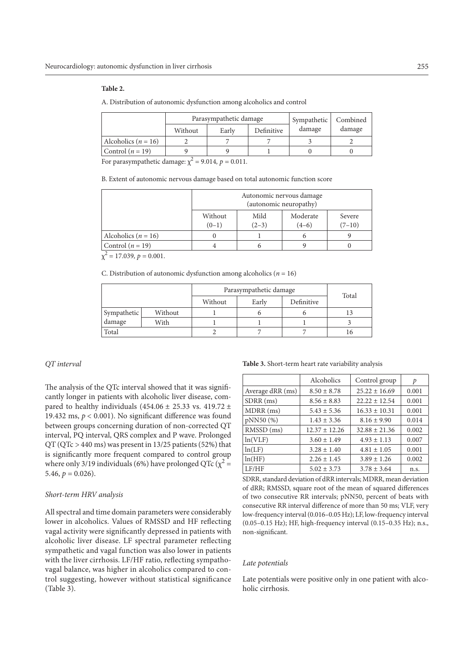## **Table 2.**

A. Distribution of autonomic dysfunction among alcoholics and control

|                         | Parasympathetic damage |       | Sympathetic | Combined |        |
|-------------------------|------------------------|-------|-------------|----------|--------|
|                         | Without                | Early | Definitive  | damage   | damage |
| Alcoholics ( $n = 16$ ) |                        |       |             |          |        |
| Control $(n = 19)$      |                        |       |             |          |        |

For parasympathetic damage:  $\chi^2$  = 9.014,  $p$  = 0.011.

B. Extent of autonomic nervous damage based on total autonomic function score

|                         | Autonomic nervous damage<br>(autonomic neuropathy) |                 |                     |                    |
|-------------------------|----------------------------------------------------|-----------------|---------------------|--------------------|
|                         | Without<br>$(0-1)$                                 | Mild<br>$(2-3)$ | Moderate<br>$(4-6)$ | Severe<br>$(7-10)$ |
| Alcoholics ( $n = 16$ ) |                                                    |                 | n                   |                    |
| Control $(n = 19)$      |                                                    |                 |                     |                    |
| $17.020 + 0.001$        |                                                    |                 |                     |                    |

 $\chi^2$  = 17.039,  $p = 0.001$ .

C. Distribution of autonomic dysfunction among alcoholics (*n* = 16)

|             |         | Parasympathetic damage | Total |            |      |  |
|-------------|---------|------------------------|-------|------------|------|--|
|             |         | Without                | Early | Definitive |      |  |
| Sympathetic | Without |                        |       |            |      |  |
| damage      | With    |                        |       |            |      |  |
| Total       |         |                        |       |            | I () |  |

## *QT interval*

The analysis of the QTc interval showed that it was significantly longer in patients with alcoholic liver disease, compared to healthy individuals (454.06  $\pm$  25.33 vs. 419.72  $\pm$ 19.432 ms,  $p < 0.001$ ). No significant difference was found between groups concerning duration of non-corrected QT interval, PQ interval, QRS complex and P wave. Prolonged QT (QTc > 440 ms) was present in 13/25 patients (52%) that is significantly more frequent compared to control group where only 3/19 individuals (6%) have prolonged QTc ( $\chi^2$  = 5.46,  $p = 0.026$ ).

#### *Short-term HRV analysis*

All spectral and time domain parameters were considerably lower in alcoholics. Values of RMSSD and HF reflecting vagal activity were significantly depressed in patients with alcoholic liver disease. LF spectral parameter reflecting sympathetic and vagal function was also lower in patients with the liver cirrhosis. LF/HF ratio, reflecting sympathovagal balance, was higher in alcoholics compared to control suggesting, however without statistical significance (Table 3).

**Table 3.** Short-term heart rate variability analysis

|                  | Alcoholics        | Control group     | р     |
|------------------|-------------------|-------------------|-------|
| Average dRR (ms) | $8.50 \pm 8.78$   | $25.22 \pm 16.69$ | 0.001 |
| $SDRR$ (ms)      | $8.56 \pm 8.83$   | $22.22 \pm 12.54$ | 0.001 |
| MDRR (ms)        | $5.43 \pm 5.36$   | $16.33 \pm 10.31$ | 0.001 |
| pNN50 (%)        | $1.43 \pm 3.36$   | $8.16 \pm 9.90$   | 0.014 |
| RMSSD (ms)       | $12.37 \pm 12.26$ | $32.88 \pm 21.36$ | 0.002 |
| ln(VLF)          | $3.60 \pm 1.49$   | $4.93 \pm 1.13$   | 0.007 |
| ln(LF)           | $3.28 \pm 1.40$   | $4.81 \pm 1.05$   | 0.001 |
| ln(HF)           | $2.26 \pm 1.45$   | $3.89 \pm 1.26$   | 0.002 |
| LF/HF            | $5.02 \pm 3.73$   | $3.78 \pm 3.64$   | n.s.  |

SDRR, standard deviation of dRR intervals; MDRR, mean deviation of dRR; RMSSD, square root of the mean of squared differences of two consecutive RR intervals; pNN50, percent of beats with consecutive RR interval difference of more than 50 ms; VLF, very low-frequency interval (0.016–0.05 Hz); LF, low-frequency interval (0.05–0.15 Hz); HF, high-frequency interval (0.15–0.35 Hz); n.s., non-significant.

#### *Late potentials*

Late potentials were positive only in one patient with alcoholic cirrhosis.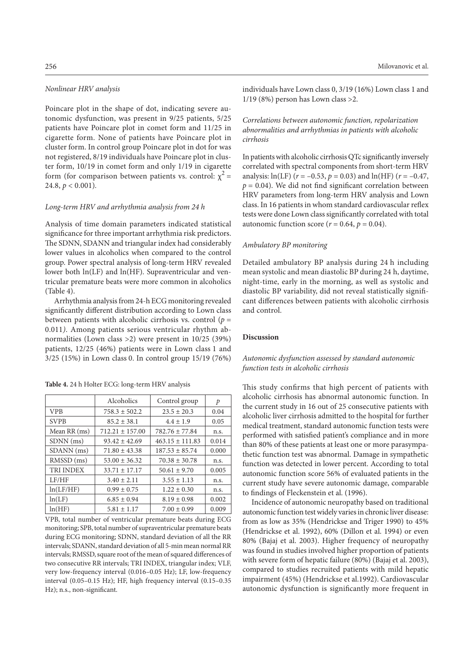#### *Nonlinear HRV analysis*

Poincare plot in the shape of dot, indicating severe autonomic dysfunction, was present in 9/25 patients, 5/25 patients have Poincare plot in comet form and 11/25 in cigarette form. None of patients have Poincare plot in cluster form. In control group Poincare plot in dot for was not registered, 8/19 individuals have Poincare plot in cluster form, 10/19 in comet form and only 1/19 in cigarette form (for comparison between patients vs. control:  $\chi^2$  = 24.8, *p* < 0.001)*.*

# *Long-term HRV and arrhythmia analysis from 24 h*

Analysis of time domain parameters indicated statistical significance for three important arrhythmia risk predictors. The SDNN, SDANN and triangular index had considerably lower values in alcoholics when compared to the control group. Power spectral analysis of long-term HRV revealed lower both ln(LF) and ln(HF). Supraventricular and ventricular premature beats were more common in alcoholics (Table 4).

Arrhythmia analysis from 24-h ECG monitoring revealed significantly different distribution according to Lown class between patients with alcoholic cirrhosis vs. control (*p =*  0.011*)*. Among patients serious ventricular rhythm abnormalities (Lown class >2) were present in 10/25 (39%) patients, 12/25 (46%) patients were in Lown class 1 and 3/25 (15%) in Lown class 0. In control group 15/19 (76%)

VPB 758.3  $\pm$  502.2 23.5  $\pm$  20.3 0.04 SVPB 85.2 ± 38.1  $4.4 \pm 1.9$  0.05 Mean RR (ms)  $712.21 \pm 157.00$   $782.76 \pm 77.84$  n.s. SDNN (ms) 93.42 ± 42.69 463.15 ± 111.83 0.014 SDANN (ms) 71.80 ± 43.38 187.53 ± 85.74 0.000 RMSSD (ms)  $\begin{array}{|l|} 53.00 \pm 36.32 \end{array}$  70.38  $\pm$  30.78 n.s.

Alcoholics Control group *p* 

**Table 4.** 24 h Holter ECG: long-term HRV analysis

| TRI INDEX                                                           | $33.71 \pm 17.17$ | $50.61 \pm 9.70$                                            | 0.005 |  |
|---------------------------------------------------------------------|-------------------|-------------------------------------------------------------|-------|--|
| LF/HF                                                               | $3.40 \pm 2.11$   | $3.55 \pm 1.13$                                             | n.s.  |  |
| ln(LF/HF)                                                           | $0.99 \pm 0.75$   | $1.22 \pm 0.30$                                             | n.s.  |  |
| ln(LF)                                                              | $6.85 \pm 0.94$   | $8.19 \pm 0.98$                                             | 0.002 |  |
| ln(HF)                                                              | $5.81 \pm 1.17$   | $7.00 \pm 0.99$                                             | 0.009 |  |
|                                                                     |                   | VPB, total number of ventricular premature beats during ECG |       |  |
| monitoring; SPB, total number of supraventricular premature beats   |                   |                                                             |       |  |
| during ECG monitoring; SDNN, standard deviation of all the RR       |                   |                                                             |       |  |
| intervals; SDANN, standard deviation of all 5-min mean normal RR    |                   |                                                             |       |  |
| intervals; RMSSD, square root of the mean of squared differences of |                   |                                                             |       |  |
| two consecutive RR intervals; TRI INDEX, triangular index; VLF,     |                   |                                                             |       |  |
| very low-frequency interval (0.016-0.05 Hz); LF, low-frequency      |                   |                                                             |       |  |
| interval (0.05-0.15 Hz); HF, high frequency interval (0.15-0.35     |                   |                                                             |       |  |
| Hz); n.s., non-significant.                                         |                   |                                                             |       |  |

individuals have Lown class 0, 3/19 (16%) Lown class 1 and 1/19 (8%) person has Lown class >2.

# *Correlations between autonomic function, repolarization abnormalities and arrhythmias in patients with alcoholic cirrhosis*

In patients with alcoholic cirrhosis QTc significantly inversely correlated with spectral components from short-term HRV analysis:  $ln(LF)$  ( $r = -0.53$ ,  $p = 0.03$ ) and  $ln(HF)$  ( $r = -0.47$ ,  $p = 0.04$ ). We did not find significant correlation between HRV parameters from long-term HRV analysis and Lown class. In 16 patients in whom standard cardiovascular reflex tests were done Lown class significantly correlated with total autonomic function score ( $r = 0.64$ ,  $p = 0.04$ ).

#### *Ambulatory BP monitoring*

Detailed ambulatory BP analysis during 24 h including mean systolic and mean diastolic BP during 24 h, daytime, night-time, early in the morning, as well as systolic and diastolic BP variability, did not reveal statistically significant differences between patients with alcoholic cirrhosis and control.

## **Discussion**

# *Autonomic dysfunction assessed by standard autonomic function tests in alcoholic cirrhosis*

This study confirms that high percent of patients with alcoholic cirrhosis has abnormal autonomic function. In the current study in 16 out of 25 consecutive patients with alcoholic liver cirrhosis admitted to the hospital for further medical treatment, standard autonomic function tests were performed with satisfied patient's compliance and in more than 80% of these patients at least one or more parasympathetic function test was abnormal. Damage in sympathetic function was detected in lower percent. According to total autonomic function score 56% of evaluated patients in the current study have severe autonomic damage, comparable to findings of Fleckenstein et al. (1996).

Incidence of autonomic neuropathy based on traditional autonomic function test widely varies in chronic liver disease: from as low as 35% (Hendrickse and Triger 1990) to 45% (Hendrickse et al. 1992), 60% (Dillon et al. 1994) or even 80% (Bajaj et al. 2003). Higher frequency of neuropathy was found in studies involved higher proportion of patients with severe form of hepatic failure (80%) (Bajaj et al. 2003), compared to studies recruited patients with mild hepatic impairment (45%) (Hendrickse et al.1992). Cardiovascular autonomic dysfunction is significantly more frequent in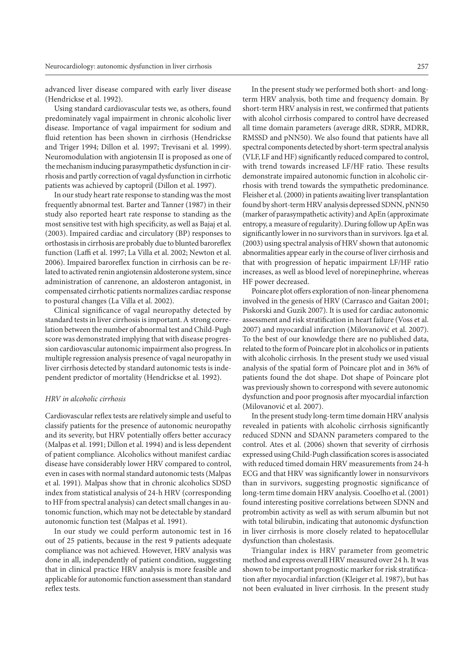advanced liver disease compared with early liver disease (Hendrickse et al. 1992).

Using standard cardiovascular tests we, as others, found predominately vagal impairment in chronic alcoholic liver disease. Importance of vagal impairment for sodium and fluid retention has been shown in cirrhosis (Hendrickse and Triger 1994; Dillon et al. 1997; Trevisani et al. 1999). Neuromodulation with angiotensin II is proposed as one of the mechanism inducing parasympathetic dysfunction in cirrhosis and partly correction of vagal dysfunction in cirrhotic patients was achieved by captopril (Dillon et al. 1997).

In our study heart rate response to standing was the most frequently abnormal test. Barter and Tanner (1987) in their study also reported heart rate response to standing as the most sensitive test with high specificity, as well as Bajaj et al. (2003). Impaired cardiac and circulatory (BP) responses to orthostasis in cirrhosis are probably due to blunted baroreflex function (Laffi et al. 1997; La Villa et al. 2002; Newton et al. 2006). Impaired baroreflex function in cirrhosis can be related to activated renin angiotensin aldosterone system, since administration of canrenone, an aldosteron antagonist, in compensated cirrhotic patients normalizes cardiac response to postural changes (La Villa et al. 2002).

Clinical significance of vagal neuropathy detected by standard tests in liver cirrhosis is important. A strong correlation between the number of abnormal test and Child-Pugh score was demonstrated implying that with disease progression cardiovascular autonomic impairment also progress. In multiple regression analysis presence of vagal neuropathy in liver cirrhosis detected by standard autonomic tests is independent predictor of mortality (Hendrickse et al. 1992).

# *HRV in alcoholic cirrhosis*

Cardiovascular reflex tests are relatively simple and useful to classify patients for the presence of autonomic neuropathy and its severity, but HRV potentially offers better accuracy (Malpas et al. 1991; Dillon et al. 1994) and is less dependent of patient compliance. Alcoholics without manifest cardiac disease have considerably lower HRV compared to control, even in cases with normal standard autonomic tests (Malpas et al. 1991). Malpas show that in chronic alcoholics SDSD index from statistical analysis of 24-h HRV (corresponding to HF from spectral analysis) can detect small changes in autonomic function, which may not be detectable by standard autonomic function test (Malpas et al. 1991).

In our study we could perform autonomic test in 16 out of 25 patients, because in the rest 9 patients adequate compliance was not achieved. However, HRV analysis was done in all, independently of patient condition, suggesting that in clinical practice HRV analysis is more feasible and applicable for autonomic function assessment than standard reflex tests.

In the present study we performed both short- and longterm HRV analysis, both time and frequency domain. By short-term HRV analysis in rest, we confirmed that patients with alcohol cirrhosis compared to control have decreased all time domain parameters (average dRR, SDRR, MDRR, RMSSD and pNN50). We also found that patients have all spectral components detected by short-term spectral analysis (VLF, LF and HF) significantly reduced compared to control, with trend towards increased LF/HF ratio. These results demonstrate impaired autonomic function in alcoholic cirrhosis with trend towards the sympathetic predominance. Fleisher et al. (2000) in patients awaiting liver transplantation found by short-term HRV analysis depressed SDNN, pNN50 (marker of parasympathetic activity) and ApEn (approximate entropy, a measure of regularity). During follow up ApEn was significantly lower in no survivors than in survivors. Iga et al. (2003) using spectral analysis of HRV shown that autonomic abnormalities appear early in the course of liver cirrhosis and that with progression of hepatic impairment LF/HF ratio increases, as well as blood level of norepinephrine, whereas HF power decreased.

Poincare plot offers exploration of non-linear phenomena involved in the genesis of HRV (Carrasco and Gaitan 2001; Piskorski and Guzik 2007). It is used for cardiac autonomic assessment and risk stratification in heart failure (Voss et al. 2007) and myocardial infarction (Milovanović et al. 2007). To the best of our knowledge there are no published data, related to the form of Poincare plot in alcoholics or in patients with alcoholic cirrhosis. In the present study we used visual analysis of the spatial form of Poincare plot and in 36% of patients found the dot shape. Dot shape of Poincare plot was previously shown to correspond with severe autonomic dysfunction and poor prognosis after myocardial infarction (Milovanović et al. 2007).

In the present study long-term time domain HRV analysis revealed in patients with alcoholic cirrhosis significantly reduced SDNN and SDANN parameters compared to the control. Ates et al. (2006) shown that severity of cirrhosis expressed using Child-Pugh classification scores is associated with reduced timed domain HRV measurements from 24-h ECG and that HRV was significantly lower in nonsurvivors than in survivors, suggesting prognostic significance of long-term time domain HRV analysis. Cooelho et al. (2001) found interesting positive correlations between SDNN and protrombin activity as well as with serum albumin but not with total bilirubin, indicating that autonomic dysfunction in liver cirrhosis is more closely related to hepatocellular dysfunction than cholestasis.

Triangular index is HRV parameter from geometric method and express overall HRV measured over 24 h. It was shown to be important prognostic marker for risk stratification after myocardial infarction (Kleiger et al. 1987), but has not been evaluated in liver cirrhosis. In the present study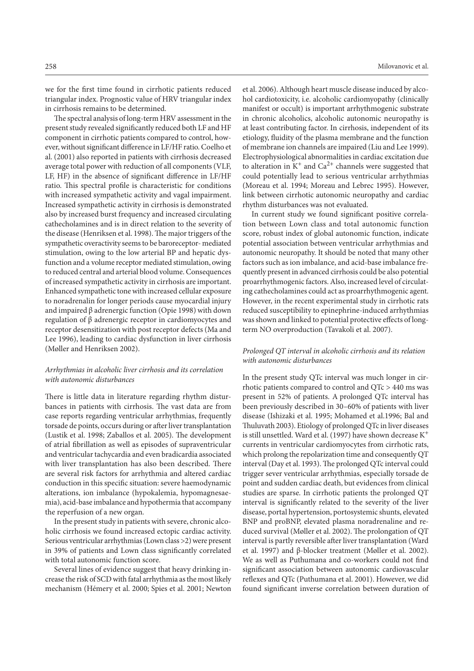we for the first time found in cirrhotic patients reduced triangular index. Prognostic value of HRV triangular index in cirrhosis remains to be determined.

The spectral analysis of long-term HRV assessment in the present study revealed significantly reduced both LF and HF component in cirrhotic patients compared to control, however, without significant difference in LF/HF ratio. Coelho et al. (2001) also reported in patients with cirrhosis decreased average total power with reduction of all components (VLF, LF, HF) in the absence of significant difference in LF/HF ratio. This spectral profile is characteristic for conditions with increased sympathetic activity and vagal impairment. Increased sympathetic activity in cirrhosis is demonstrated also by increased burst frequency and increased circulating cathecholamines and is in direct relation to the severity of the disease (Henriksen et al. 1998). The major triggers of the sympathetic overactivity seems to be baroreceptor- mediated stimulation, owing to the low arterial BP and hepatic dysfunction and a volume receptor mediated stimulation, owing to reduced central and arterial blood volume. Consequences of increased sympathetic activity in cirrhosis are important. Enhanced sympathetic tone with increased cellular exposure to noradrenalin for longer periods cause myocardial injury and impaired β adrenergic function (Opie 1998) with down regulation of β adrenergic receptor in cardiomyocytes and receptor desensitization with post receptor defects (Ma and Lee 1996), leading to cardiac dysfunction in liver cirrhosis (Møller and Henriksen 2002).

# *Arrhythmias in alcoholic liver cirrhosis and its correlation with autonomic disturbances*

There is little data in literature regarding rhythm disturbances in patients with cirrhosis. The vast data are from case reports regarding ventricular arrhythmias, frequently torsade de points, occurs during or after liver transplantation (Lustik et al. 1998; Zaballos et al. 2005). The development of atrial fibrillation as well as episodes of supraventricular and ventricular tachycardia and even bradicardia associated with liver transplantation has also been described. There are several risk factors for arrhythmia and altered cardiac conduction in this specific situation: severe haemodynamic alterations, ion imbalance (hypokalemia, hypomagnesaemia), acid-base imbalance and hypothermia that accompany the reperfusion of a new organ.

In the present study in patients with severe, chronic alcoholic cirrhosis we found increased ectopic cardiac activity. Serious ventricular arrhythmias (Lown class >2) were present in 39% of patients and Lown class significantly correlated with total autonomic function score.

Several lines of evidence suggest that heavy drinking increase the risk of SCD with fatal arrhythmia as the most likely mechanism (Hémery et al. 2000; Spies et al. 2001; Newton

et al. 2006). Although heart muscle disease induced by alcohol cardiotoxicity, i.e. alcoholic cardiomyopathy (clinically manifest or occult) is important arrhythmogenic substrate in chronic alcoholics, alcoholic autonomic neuropathy is at least contributing factor. In cirrhosis, independent of its etiology, fluidity of the plasma membrane and the function of membrane ion channels are impaired (Liu and Lee 1999). Electrophysiological abnormalities in cardiac excitation due to alteration in  $K^+$  and  $Ca^{2+}$  channels were suggested that could potentially lead to serious ventricular arrhythmias (Moreau et al. 1994; Moreau and Lebrec 1995). However, link between cirrhotic autonomic neuropathy and cardiac rhythm disturbances was not evaluated.

In current study we found significant positive correlation between Lown class and total autonomic function score, robust index of global autonomic function, indicate potential association between ventricular arrhythmias and autonomic neuropathy. It should be noted that many other factors such as ion imbalance, and acid-base imbalance frequently present in advanced cirrhosis could be also potential proarrhythmogenic factors. Also, increased level of circulating cathecholamines could act as proarrhythmogenic agent. However, in the recent experimental study in cirrhotic rats reduced susceptibility to epinephrine-induced arrhythmias was shown and linked to potential protective effects of longterm NO overproduction (Tavakoli et al. 2007).

## *Prolonged QT interval in alcoholic cirrhosis and its relation with autonomic disturbances*

In the present study QTc interval was much longer in cirrhotic patients compared to control and QTc > 440 ms was present in 52% of patients. A prolonged QTc interval has been previously described in 30–60% of patients with liver disease (Ishizaki et al. 1995; Mohamed et al.1996; Bal and Thuluvath 2003). Etiology of prolonged QTc in liver diseases is still unsettled. Ward et al. (1997) have shown decrease  $K^+$ currents in ventricular cardiomyocytes from cirrhotic rats, which prolong the repolarization time and consequently QT interval (Day et al. 1993). The prolonged QTc interval could trigger sever ventricular arrhythmias, especially torsade de point and sudden cardiac death, but evidences from clinical studies are sparse. In cirrhotic patients the prolonged QT interval is significantly related to the severity of the liver disease, portal hypertension, portosystemic shunts, elevated BNP and proBNP, elevated plasma noradrenaline and reduced survival (Møller et al. 2002). The prolongation of QT interval is partly reversible after liver transplantation (Ward et al. 1997) and β-blocker treatment (Møller et al. 2002). We as well as Puthumana and co-workers could not find significant association between autonomic cardiovascular reflexes and QTc (Puthumana et al. 2001). However, we did found significant inverse correlation between duration of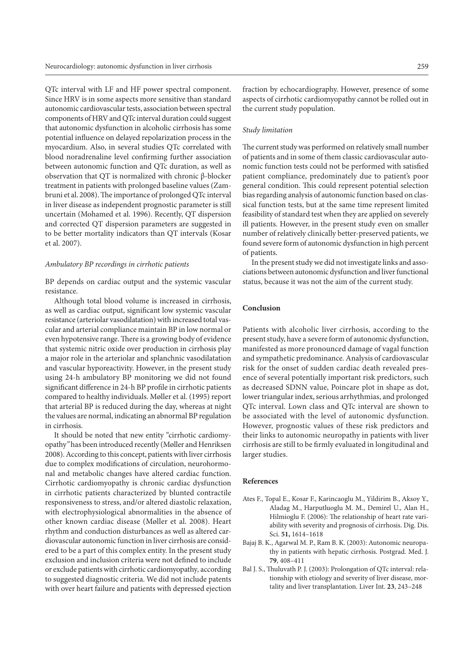QTc interval with LF and HF power spectral component. Since HRV is in some aspects more sensitive than standard autonomic cardiovascular tests, association between spectral components of HRV and QTc interval duration could suggest that autonomic dysfunction in alcoholic cirrhosis has some potential influence on delayed repolarization process in the myocardium. Also, in several studies QTc correlated with blood noradrenaline level confirming further association between autonomic function and QTc duration, as well as observation that QT is normalized with chronic β-blocker treatment in patients with prolonged baseline values (Zambruni et al. 2008). The importance of prolonged QTc interval in liver disease as independent prognostic parameter is still uncertain (Mohamed et al. 1996). Recently, QT dispersion and corrected QT dispersion parameters are suggested in to be better mortality indicators than QT intervals (Kosar et al. 2007).

# *Ambulatory BP recordings in cirrhotic patients*

BP depends on cardiac output and the systemic vascular resistance.

Although total blood volume is increased in cirrhosis, as well as cardiac output, significant low systemic vascular resistance (arteriolar vasodilatation) with increased total vascular and arterial compliance maintain BP in low normal or even hypotensive range. There is a growing body of evidence that systemic nitric oxide over production in cirrhosis play a major role in the arteriolar and splanchnic vasodilatation and vascular hyporeactivity. However, in the present study using 24-h ambulatory BP monitoring we did not found significant difference in 24-h BP profile in cirrhotic patients compared to healthy individuals. Møller et al. (1995) report that arterial BP is reduced during the day, whereas at night the values are normal, indicating an abnormal BP regulation in cirrhosis.

It should be noted that new entity "cirrhotic cardiomyopathy*"* has been introduced recently (Møller and Henriksen 2008). According to this concept, patients with liver cirrhosis due to complex modifications of circulation, neurohormonal and metabolic changes have altered cardiac function. Cirrhotic cardiomyopathy is chronic cardiac dysfunction in cirrhotic patients characterized by blunted contractile responsiveness to stress, and/or altered diastolic relaxation, with electrophysiological abnormalities in the absence of other known cardiac disease (Møller et al. 2008). Heart rhythm and conduction disturbances as well as altered cardiovascular autonomic function in liver cirrhosis are considered to be a part of this complex entity. In the present study exclusion and inclusion criteria were not defined to include or exclude patients with cirrhotic cardiomyopathy*,* according to suggested diagnostic criteria. We did not include patents with over heart failure and patients with depressed ejection

fraction by echocardiography. However, presence of some aspects of cirrhotic cardiomyopathy cannot be rolled out in the current study population.

# *Study limitation*

The current study was performed on relatively small number of patients and in some of them classic cardiovascular autonomic function tests could not be performed with satisfied patient compliance, predominately due to patient's poor general condition. This could represent potential selection bias regarding analysis of autonomic function based on classical function tests, but at the same time represent limited feasibility of standard test when they are applied on severely ill patients. However, in the present study even on smaller number of relatively clinically better-preserved patients, we found severe form of autonomic dysfunction in high percent of patients.

In the present study we did not investigate links and associations between autonomic dysfunction and liver functional status, because it was not the aim of the current study.

## **Conclusion**

Patients with alcoholic liver cirrhosis, according to the present study, have a severe form of autonomic dysfunction, manifested as more pronounced damage of vagal function and sympathetic predominance. Analysis of cardiovascular risk for the onset of sudden cardiac death revealed presence of several potentially important risk predictors, such as decreased SDNN value, Poincare plot in shape as dot, lower triangular index, serious arrhythmias, and prolonged QTc interval. Lown class and QTc interval are shown to be associated with the level of autonomic dysfunction. However, prognostic values of these risk predictors and their links to autonomic neuropathy in patients with liver cirrhosis are still to be firmly evaluated in longitudinal and larger studies.

#### **References**

- Ates F., Topal E., Kosar F., Karincaoglu M., Yildirim B., Aksoy Y., Aladag M., Harputluoglu M. M., Demirel U., Alan H., Hilmioglu F. (2006): The relationship of heart rate variability with severity and prognosis of cirrhosis. Dig. Dis. Sci. **51,** 1614–1618
- Bajaj B. K., Agarwal M. P., Ram B. K. (2003): Autonomic neuropathy in patients with hepatic cirrhosis. Postgrad. Med. J. **79**, 408–411
- Bal J. S., Thuluvath P. J. (2003): Prolongation of QTc interval: relationship with etiology and severity of liver disease, mortality and liver transplantation. Liver Int. **23**, 243–248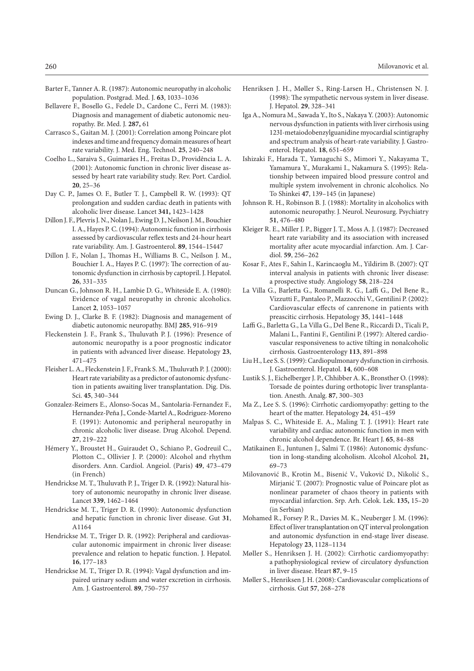- Barter F., Tanner A. R. (1987): Autonomic neuropathy in alcoholic population. Postgrad. Med. J. **63**, 1033–1036
- Bellavere F., Bosello G., Fedele D., Cardone C., Ferri M. (1983): Diagnosis and management of diabetic autonomic neuropathy. Br. Med. J. **287,** 61
- Carrasco S., Gaitan M. J. (2001): Correlation among Poincare plot indexes and time and frequency domain measures of heart rate variability. J. Med. Eng. Technol. **25**, 240–248
- Coelho L., Saraiva S., Guimaräes H., Freitas D., Providência L. A. (2001): Autonomic function in chronic liver disease assessed by heart rate variability study. Rev. Port. Cardiol. **20**, 25–36
- Day C. P., James O. F., Butler T. J., Campbell R. W. (1993): QT prolongation and sudden cardiac death in patients with alcoholic liver disease. Lancet **341,** 1423–1428
- Dillon J. F., Plevris J. N., Nolan J., Ewing D. J., Neilson J. M., Bouchier I. A., Hayes P. C. (1994): Autonomic function in cirrhosis assessed by cardiovascular reflex tests and 24-hour heart rate variability. Am. J. Gastroenterol. **89**, 1544–15447
- Dillon J. F., Nolan J., Thomas H., Williams B. C., Neilson J. M., Bouchier I. A., Hayes P. C. (1997): The correction of autonomic dysfunction in cirrhosis by captopril. J. Hepatol. **26**, 331–335
- Duncan G., Johnson R. H., Lambie D. G., Whiteside E. A. (1980): Evidence of vagal neuropathy in chronic alcoholics. Lancet **2**, 1053–1057
- Ewing D. J., Clarke B. F. (1982): Diagnosis and management of diabetic autonomic neuropathy. BMJ **285**, 916–919
- Fleckenstein J. F., Frank S., Thuluvath P. J. (1996): Presence of autonomic neuropathy is a poor prognostic indicator in patients with advanced liver disease. Hepatology **23**, 471–475
- Fleisher L. A., Fleckenstein J. F., Frank S. M., Thuluvath P. J. (2000): Heart rate variability as a predictor of autonomic dysfunction in patients awaiting liver transplantation. Dig. Dis. Sci. **45**, 340–344
- Gonzalez-Reimers E., Alonso-Socas M., Santolaria-Fernandez F., Hernandez-Peña J., Conde-Martel A., Rodriguez-Moreno F. (1991): Autonomic and peripheral neuropathy in chronic alcoholic liver disease. Drug Alcohol. Depend. **27**, 219–222
- Hémery Y., Broustet H., Guiraudet O., Schiano P., Godreuil C., Plotton C., Ollivier J. P. (2000): Alcohol and rhythm disorders. Ann. Cardiol. Angeiol. (Paris) **49**, 473–479 (in French)
- Hendrickse M. T., Thuluvath P. J., Triger D. R. (1992): Natural history of autonomic neuropathy in chronic liver disease. Lancet **339**, 1462–1464
- Hendrickse M. T., Triger D. R. (1990): Autonomic dysfunction and hepatic function in chronic liver disease. Gut **31**, A1164
- Hendrickse M. T., Triger D. R. (1992): Peripheral and cardiovascular autonomic impairment in chronic liver disease: prevalence and relation to hepatic function. J. Hepatol. **16**, 177–183
- Hendrickse M. T., Triger D. R. (1994): Vagal dysfunction and impaired urinary sodium and water excretion in cirrhosis. Am. J. Gastroenterol. **89**, 750–757
- Henriksen J. H., Møller S., Ring-Larsen H., Christensen N. J. (1998): The sympathetic nervous system in liver disease. J. Hepatol. **29**, 328–341
- Iga A., Nomura M., Sawada Y., Ito S., Nakaya Y. (2003): Autonomic nervous dysfunction in patients with liver cirrhosis using 123I-metaiodobenzylguanidine myocardial scintigraphy and spectrum analysis of heart-rate variability. J. Gastroenterol. Hepatol. **18**, 651–659
- Ishizaki F., Harada T., Yamaguchi S., Mimori Y., Nakayama T., Yamamura Y., Murakami I., Nakamura S. (1995): Relationship between impaired blood pressure control and multiple system involvement in chronic alcoholics. No To Shinkei **47**, 139–145 (in Japanese)
- Johnson R. H., Robinson B. J. (1988): Mortality in alcoholics with autonomic neuropathy. J. Neurol. Neurosurg. Psychiatry **51**, 476–480
- Kleiger R. E., Miller J. P., Bigger J. T., Moss A. J. (1987): Decreased heart rate variability and its association with increased mortality after acute myocardial infarction. Am. J. Cardiol. **59**, 256–262
- Kosar F., Ates F., Sahin I., Karincaoglu M., Yildirim B. (2007): QT interval analysis in patients with chronic liver disease: a prospective study. Angiology **58**, 218–224
- La Villa G., Barletta G., Romanelli R. G., Laffi G., Del Bene R., Vizzutti F., Pantaleo P., Mazzocchi V., Gentilini P. (2002): Cardiovascular effects of canrenone in patients with preascitic cirrhosis. Hepatology **35**, 1441–1448
- Laffi G., Barletta G., La Villa G., Del Bene R., Riccardi D., Ticali P., Malani L., Fantini F., Gentilini P. (1997): Altered cardiovascular responsiveness to active tilting in nonalcoholic cirrhosis. Gastroenterology **113**, 891–898
- Liu H., Lee S. S. (1999): Cardiopulmonary dysfunction in cirrhosis. J. Gastroenterol. Hepatol. **14**, 600–608
- Lustik S. J., Eichelberger J. P., Chhibber A. K., Bronsther O. (1998): Torsade de pointes during orthotopic liver transplantation. Anesth. Analg. **87**, 300–303
- Ma Z., Lee S. S. (1996): Cirrhotic cardiomyopathy: getting to the heart of the matter. Hepatology **24**, 451–459
- Malpas S. C., Whiteside E. A., Maling T. J. (1991): Heart rate variability and cardiac autonomic function in men with chronic alcohol dependence. Br. Heart J. **65**, 84–88
- Matikainen E., Juntunen J., Salmi T. (1986): Autonomic dysfunction in long-standing alcoholism. Alcohol Alcohol. **21,** 69–73
- Milovanović B., Krotin M., Bisenić V., Vuković D., Nikolić S., Mirjanić T. (2007): Prognostic value of Poincare plot as nonlinear parameter of chaos theory in patients with myocardial infarction. Srp. Arh. Celok. Lek. **135,** 15–20 (in Serbian)
- Mohamed R., Forsey P. R., Davies M. K., Neuberger J. M. (1996): Effect of liver transplantation on QT interval prolongation and autonomic dysfunction in end-stage liver disease. Hepatology **23**, 1128–1134
- Møller S., Henriksen J. H. (2002): Cirrhotic cardiomyopathy: a pathophysiological review of circulatory dysfunction in liver disease. Heart **87**, 9–15
- Møller S., Henriksen J. H. (2008): Cardiovascular complications of cirrhosis. Gut **57**, 268–278